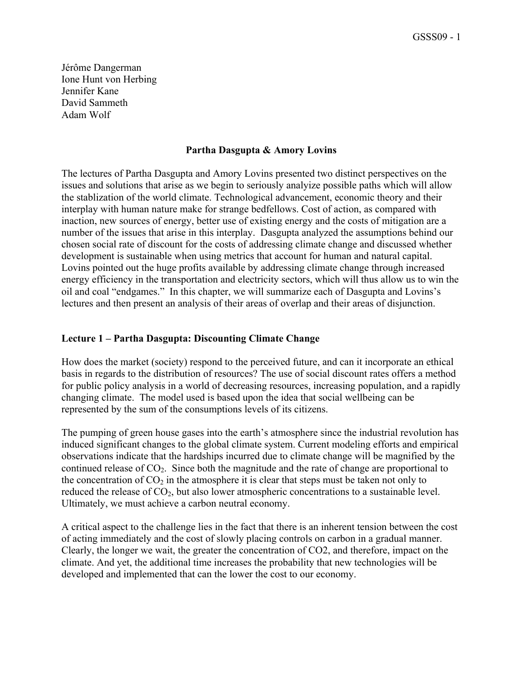Jérôme Dangerman Ione Hunt von Herbing Jennifer Kane David Sammeth Adam Wolf

### **Partha Dasgupta & Amory Lovins**

The lectures of Partha Dasgupta and Amory Lovins presented two distinct perspectives on the issues and solutions that arise as we begin to seriously analyize possible paths which will allow the stablization of the world climate. Technological advancement, economic theory and their interplay with human nature make for strange bedfellows. Cost of action, as compared with inaction, new sources of energy, better use of existing energy and the costs of mitigation are a number of the issues that arise in this interplay. Dasgupta analyzed the assumptions behind our chosen social rate of discount for the costs of addressing climate change and discussed whether development is sustainable when using metrics that account for human and natural capital. Lovins pointed out the huge profits available by addressing climate change through increased energy efficiency in the transportation and electricity sectors, which will thus allow us to win the oil and coal "endgames." In this chapter, we will summarize each of Dasgupta and Lovins's lectures and then present an analysis of their areas of overlap and their areas of disjunction.

## **Lecture 1 – Partha Dasgupta: Discounting Climate Change**

How does the market (society) respond to the perceived future, and can it incorporate an ethical basis in regards to the distribution of resources? The use of social discount rates offers a method for public policy analysis in a world of decreasing resources, increasing population, and a rapidly changing climate. The model used is based upon the idea that social wellbeing can be represented by the sum of the consumptions levels of its citizens.

The pumping of green house gases into the earth's atmosphere since the industrial revolution has induced significant changes to the global climate system. Current modeling efforts and empirical observations indicate that the hardships incurred due to climate change will be magnified by the continued release of  $CO<sub>2</sub>$ . Since both the magnitude and the rate of change are proportional to the concentration of  $CO<sub>2</sub>$  in the atmosphere it is clear that steps must be taken not only to reduced the release of  $CO<sub>2</sub>$ , but also lower atmospheric concentrations to a sustainable level. Ultimately, we must achieve a carbon neutral economy.

A critical aspect to the challenge lies in the fact that there is an inherent tension between the cost of acting immediately and the cost of slowly placing controls on carbon in a gradual manner. Clearly, the longer we wait, the greater the concentration of CO2, and therefore, impact on the climate. And yet, the additional time increases the probability that new technologies will be developed and implemented that can the lower the cost to our economy.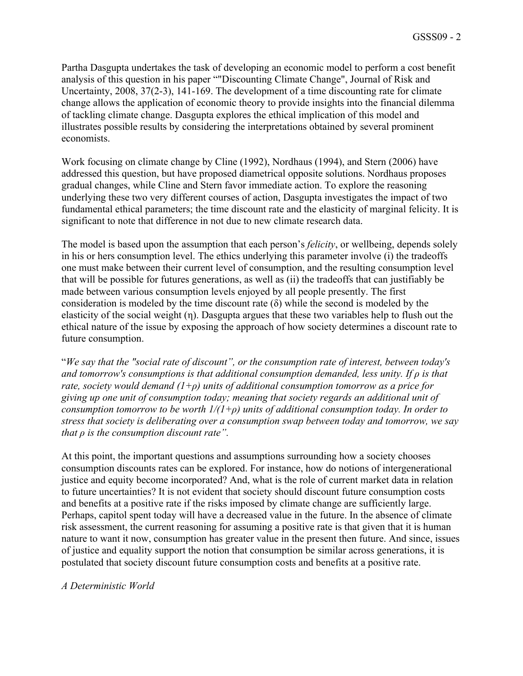Partha Dasgupta undertakes the task of developing an economic model to perform a cost benefit analysis of this question in his paper ""Discounting Climate Change", Journal of Risk and Uncertainty, 2008, 37(2-3), 141-169. The development of a time discounting rate for climate change allows the application of economic theory to provide insights into the financial dilemma of tackling climate change. Dasgupta explores the ethical implication of this model and illustrates possible results by considering the interpretations obtained by several prominent economists.

Work focusing on climate change by Cline (1992), Nordhaus (1994), and Stern (2006) have addressed this question, but have proposed diametrical opposite solutions. Nordhaus proposes gradual changes, while Cline and Stern favor immediate action. To explore the reasoning underlying these two very different courses of action, Dasgupta investigates the impact of two fundamental ethical parameters; the time discount rate and the elasticity of marginal felicity. It is significant to note that difference in not due to new climate research data.

The model is based upon the assumption that each person's *felicity*, or wellbeing, depends solely in his or hers consumption level. The ethics underlying this parameter involve (i) the tradeoffs one must make between their current level of consumption, and the resulting consumption level that will be possible for futures generations, as well as (ii) the tradeoffs that can justifiably be made between various consumption levels enjoyed by all people presently. The first consideration is modeled by the time discount rate (δ) while the second is modeled by the elasticity of the social weight (η). Dasgupta argues that these two variables help to flush out the ethical nature of the issue by exposing the approach of how society determines a discount rate to future consumption.

"*We say that the "social rate of discount", or the consumption rate of interest, between today's and tomorrow's consumptions is that additional consumption demanded, less unity. If ρ is that rate, society would demand (1+ρ) units of additional consumption tomorrow as a price for giving up one unit of consumption today; meaning that society regards an additional unit of consumption tomorrow to be worth 1/(1+ρ) units of additional consumption today. In order to stress that society is deliberating over a consumption swap between today and tomorrow, we say that ρ is the consumption discount rate".*

At this point, the important questions and assumptions surrounding how a society chooses consumption discounts rates can be explored. For instance, how do notions of intergenerational justice and equity become incorporated? And, what is the role of current market data in relation to future uncertainties? It is not evident that society should discount future consumption costs and benefits at a positive rate if the risks imposed by climate change are sufficiently large. Perhaps, capitol spent today will have a decreased value in the future. In the absence of climate risk assessment, the current reasoning for assuming a positive rate is that given that it is human nature to want it now, consumption has greater value in the present then future. And since, issues of justice and equality support the notion that consumption be similar across generations, it is postulated that society discount future consumption costs and benefits at a positive rate.

#### *A Deterministic World*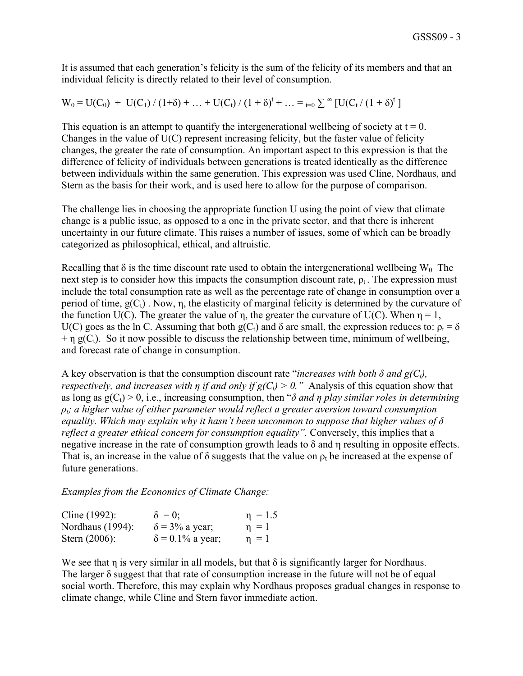It is assumed that each generation's felicity is the sum of the felicity of its members and that an individual felicity is directly related to their level of consumption.

$$
W_0 = U(C_0) + U(C_1) / (1+\delta) + ... + U(C_t) / (1+\delta)^t + ... =_{t=0} \sum^{\infty} [U(C_t / (1+\delta)^t)]
$$

This equation is an attempt to quantify the intergenerational well being of society at  $t = 0$ . Changes in the value of U(C) represent increasing felicity, but the faster value of felicity changes, the greater the rate of consumption. An important aspect to this expression is that the difference of felicity of individuals between generations is treated identically as the difference between individuals within the same generation. This expression was used Cline, Nordhaus, and Stern as the basis for their work, and is used here to allow for the purpose of comparison.

The challenge lies in choosing the appropriate function U using the point of view that climate change is a public issue, as opposed to a one in the private sector, and that there is inherent uncertainty in our future climate. This raises a number of issues, some of which can be broadly categorized as philosophical, ethical, and altruistic.

Recalling that  $\delta$  is the time discount rate used to obtain the intergenerational wellbeing W<sub>0</sub>. The next step is to consider how this impacts the consumption discount rate,  $\rho_t$ . The expression must include the total consumption rate as well as the percentage rate of change in consumption over a period of time,  $g(C_t)$ . Now, n, the elasticity of marginal felicity is determined by the curvature of the function U(C). The greater the value of n, the greater the curvature of U(C). When  $\eta = 1$ , U(C) goes as the ln C. Assuming that both g(C<sub>t</sub>) and  $\delta$  are small, the expression reduces to:  $\rho_t = \delta$  $+ \eta$  g(C<sub>t</sub>). So it now possible to discuss the relationship between time, minimum of wellbeing, and forecast rate of change in consumption.

A key observation is that the consumption discount rate "*increases with both*  $\delta$  *and g(C<sub>t</sub>)*, *respectively, and increases with <i>η if and only if g(C<sub>t</sub>)* > 0." Analysis of this equation show that as long as  $g(C_t) > 0$ , i.e., increasing consumption, then " $\delta$  *and*  $\eta$  *play similar roles in determining ρt; a higher value of either parameter would reflect a greater aversion toward consumption equality. Which may explain why it hasn't been uncommon to suppose that higher values of δ reflect a greater ethical concern for consumption equality".* Conversely, this implies that a negative increase in the rate of consumption growth leads to  $\delta$  and  $\eta$  resulting in opposite effects. That is, an increase in the value of  $\delta$  suggests that the value on  $\rho_t$  be increased at the expense of future generations.

*Examples from the Economics of Climate Change:*

| Cline $(1992)$ : | $\delta = 0$ ;          | $\eta = 1.5$ |
|------------------|-------------------------|--------------|
| Nordhaus (1994): | $\delta$ = 3% a year;   | $\eta = 1$   |
| Stern $(2006)$ : | $\delta$ = 0.1% a year; | $\eta = 1$   |

We see that  $\eta$  is very similar in all models, but that  $\delta$  is significantly larger for Nordhaus. The larger δ suggest that that rate of consumption increase in the future will not be of equal social worth. Therefore, this may explain why Nordhaus proposes gradual changes in response to climate change, while Cline and Stern favor immediate action.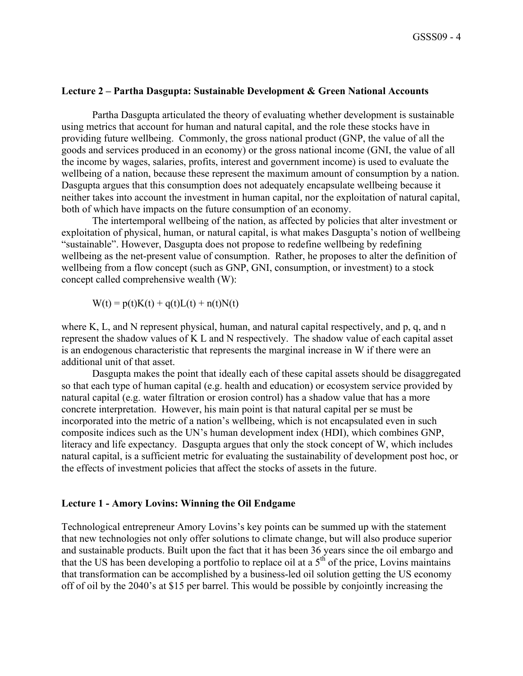#### **Lecture 2 – Partha Dasgupta: Sustainable Development & Green National Accounts**

Partha Dasgupta articulated the theory of evaluating whether development is sustainable using metrics that account for human and natural capital, and the role these stocks have in providing future wellbeing. Commonly, the gross national product (GNP, the value of all the goods and services produced in an economy) or the gross national income (GNI, the value of all the income by wages, salaries, profits, interest and government income) is used to evaluate the wellbeing of a nation, because these represent the maximum amount of consumption by a nation. Dasgupta argues that this consumption does not adequately encapsulate wellbeing because it neither takes into account the investment in human capital, nor the exploitation of natural capital, both of which have impacts on the future consumption of an economy.

The intertemporal wellbeing of the nation, as affected by policies that alter investment or exploitation of physical, human, or natural capital, is what makes Dasgupta's notion of wellbeing "sustainable". However, Dasgupta does not propose to redefine wellbeing by redefining wellbeing as the net-present value of consumption. Rather, he proposes to alter the definition of wellbeing from a flow concept (such as GNP, GNI, consumption, or investment) to a stock concept called comprehensive wealth (W):

 $W(t) = p(t)K(t) + q(t)L(t) + n(t)N(t)$ 

where K, L, and N represent physical, human, and natural capital respectively, and p, q, and n represent the shadow values of K L and N respectively. The shadow value of each capital asset is an endogenous characteristic that represents the marginal increase in W if there were an additional unit of that asset.

Dasgupta makes the point that ideally each of these capital assets should be disaggregated so that each type of human capital (e.g. health and education) or ecosystem service provided by natural capital (e.g. water filtration or erosion control) has a shadow value that has a more concrete interpretation. However, his main point is that natural capital per se must be incorporated into the metric of a nation's wellbeing, which is not encapsulated even in such composite indices such as the UN's human development index (HDI), which combines GNP, literacy and life expectancy. Dasgupta argues that only the stock concept of W, which includes natural capital, is a sufficient metric for evaluating the sustainability of development post hoc, or the effects of investment policies that affect the stocks of assets in the future.

# **Lecture 1 - Amory Lovins: Winning the Oil Endgame**

Technological entrepreneur Amory Lovins's key points can be summed up with the statement that new technologies not only offer solutions to climate change, but will also produce superior and sustainable products. Built upon the fact that it has been 36 years since the oil embargo and that the US has been developing a portfolio to replace oil at a  $5<sup>th</sup>$  of the price, Lovins maintains that transformation can be accomplished by a business-led oil solution getting the US economy off of oil by the 2040's at \$15 per barrel. This would be possible by conjointly increasing the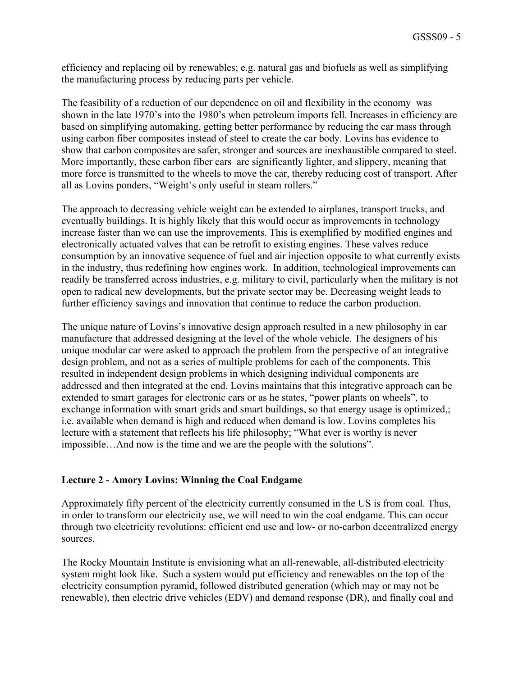efficiency and replacing oil by renewables; e.g. natural gas and biofuels as well as simplifying the manufacturing process by reducing parts per vehicle.

The feasibility of a reduction of our dependence on oil and flexibility in the economy was shown in the late 1970's into the 1980's when petroleum imports fell. Increases in efficiency are based on simplifying automaking, getting better performance by reducing the car mass through using carbon fiber composites instead of steel to create the car body. Lovins has evidence to show that carbon composites are safer, stronger and sources are inexhaustible compared to steel. More importantly, these carbon fiber cars are significantly lighter, and slippery, meaning that more force is transmitted to the wheels to move the car, thereby reducing cost of transport. After all as Lovins ponders, "Weight's only useful in steam rollers."

The approach to decreasing vehicle weight can be extended to airplanes, transport trucks, and eventually buildings. It is highly likely that this would occur as improvements in technology increase faster than we can use the improvements. This is exemplified by modified engines and electronically actuated valves that can be retrofit to existing engines. These valves reduce consumption by an innovative sequence of fuel and air injection opposite to what currently exists in the industry, thus redefining how engines work. In addition, technological improvements can readily be transferred across industries, e.g. military to civil, particularly when the military is not open to radical new developments, but the private sector may be. Decreasing weight leads to further efficiency savings and innovation that continue to reduce the carbon production.

The unique nature of Lovins's innovative design approach resulted in a new philosophy in car manufacture that addressed designing at the level of the whole vehicle. The designers of his unique modular car were asked to approach the problem from the perspective of an integrative design problem, and not as a series of multiple problems for each of the components. This resulted in independent design problems in which designing individual components are addressed and then integrated at the end. Lovins maintains that this integrative approach can be extended to smart garages for electronic cars or as he states, "power plants on wheels", to exchange information with smart grids and smart buildings, so that energy usage is optimized,; i.e. available when demand is high and reduced when demand is low. Lovins completes his lecture with a statement that reflects his life philosophy; "What ever is worthy is never impossible…And now is the time and we are the people with the solutions".

## **Lecture 2 - Amory Lovins: Winning the Coal Endgame**

Approximately fifty percent of the electricity currently consumed in the US is from coal. Thus, in order to transform our electricity use, we will need to win the coal endgame. This can occur through two electricity revolutions: efficient end use and low- or no-carbon decentralized energy sources.

The Rocky Mountain Institute is envisioning what an all-renewable, all-distributed electricity system might look like. Such a system would put efficiency and renewables on the top of the electricity consumption pyramid, followed distributed generation (which may or may not be renewable), then electric drive vehicles (EDV) and demand response (DR), and finally coal and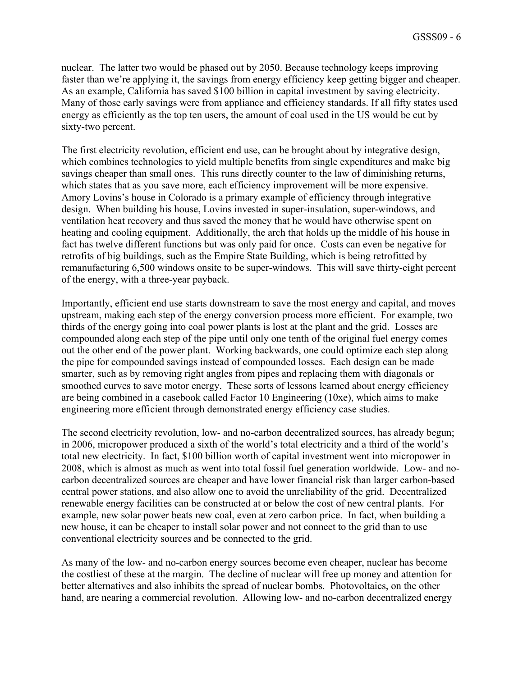nuclear. The latter two would be phased out by 2050. Because technology keeps improving faster than we're applying it, the savings from energy efficiency keep getting bigger and cheaper. As an example, California has saved \$100 billion in capital investment by saving electricity. Many of those early savings were from appliance and efficiency standards. If all fifty states used energy as efficiently as the top ten users, the amount of coal used in the US would be cut by sixty-two percent.

The first electricity revolution, efficient end use, can be brought about by integrative design, which combines technologies to yield multiple benefits from single expenditures and make big savings cheaper than small ones. This runs directly counter to the law of diminishing returns, which states that as you save more, each efficiency improvement will be more expensive. Amory Lovins's house in Colorado is a primary example of efficiency through integrative design. When building his house, Lovins invested in super-insulation, super-windows, and ventilation heat recovery and thus saved the money that he would have otherwise spent on heating and cooling equipment. Additionally, the arch that holds up the middle of his house in fact has twelve different functions but was only paid for once. Costs can even be negative for retrofits of big buildings, such as the Empire State Building, which is being retrofitted by remanufacturing 6,500 windows onsite to be super-windows. This will save thirty-eight percent of the energy, with a three-year payback.

Importantly, efficient end use starts downstream to save the most energy and capital, and moves upstream, making each step of the energy conversion process more efficient. For example, two thirds of the energy going into coal power plants is lost at the plant and the grid. Losses are compounded along each step of the pipe until only one tenth of the original fuel energy comes out the other end of the power plant. Working backwards, one could optimize each step along the pipe for compounded savings instead of compounded losses. Each design can be made smarter, such as by removing right angles from pipes and replacing them with diagonals or smoothed curves to save motor energy. These sorts of lessons learned about energy efficiency are being combined in a casebook called Factor 10 Engineering (10xe), which aims to make engineering more efficient through demonstrated energy efficiency case studies.

The second electricity revolution, low- and no-carbon decentralized sources, has already begun; in 2006, micropower produced a sixth of the world's total electricity and a third of the world's total new electricity. In fact, \$100 billion worth of capital investment went into micropower in 2008, which is almost as much as went into total fossil fuel generation worldwide. Low- and nocarbon decentralized sources are cheaper and have lower financial risk than larger carbon-based central power stations, and also allow one to avoid the unreliability of the grid. Decentralized renewable energy facilities can be constructed at or below the cost of new central plants. For example, new solar power beats new coal, even at zero carbon price. In fact, when building a new house, it can be cheaper to install solar power and not connect to the grid than to use conventional electricity sources and be connected to the grid.

As many of the low- and no-carbon energy sources become even cheaper, nuclear has become the costliest of these at the margin. The decline of nuclear will free up money and attention for better alternatives and also inhibits the spread of nuclear bombs. Photovoltaics, on the other hand, are nearing a commercial revolution. Allowing low- and no-carbon decentralized energy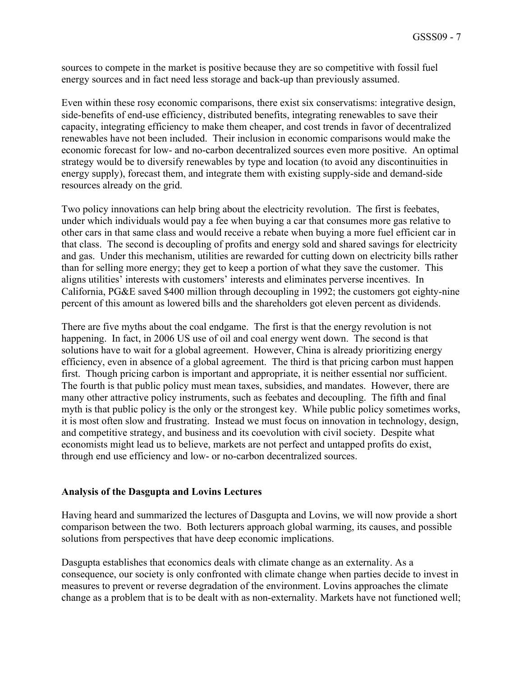sources to compete in the market is positive because they are so competitive with fossil fuel energy sources and in fact need less storage and back-up than previously assumed.

Even within these rosy economic comparisons, there exist six conservatisms: integrative design, side-benefits of end-use efficiency, distributed benefits, integrating renewables to save their capacity, integrating efficiency to make them cheaper, and cost trends in favor of decentralized renewables have not been included. Their inclusion in economic comparisons would make the economic forecast for low- and no-carbon decentralized sources even more positive. An optimal strategy would be to diversify renewables by type and location (to avoid any discontinuities in energy supply), forecast them, and integrate them with existing supply-side and demand-side resources already on the grid.

Two policy innovations can help bring about the electricity revolution. The first is feebates, under which individuals would pay a fee when buying a car that consumes more gas relative to other cars in that same class and would receive a rebate when buying a more fuel efficient car in that class. The second is decoupling of profits and energy sold and shared savings for electricity and gas. Under this mechanism, utilities are rewarded for cutting down on electricity bills rather than for selling more energy; they get to keep a portion of what they save the customer. This aligns utilities' interests with customers' interests and eliminates perverse incentives. In California, PG&E saved \$400 million through decoupling in 1992; the customers got eighty-nine percent of this amount as lowered bills and the shareholders got eleven percent as dividends.

There are five myths about the coal endgame. The first is that the energy revolution is not happening. In fact, in 2006 US use of oil and coal energy went down. The second is that solutions have to wait for a global agreement. However, China is already prioritizing energy efficiency, even in absence of a global agreement. The third is that pricing carbon must happen first. Though pricing carbon is important and appropriate, it is neither essential nor sufficient. The fourth is that public policy must mean taxes, subsidies, and mandates. However, there are many other attractive policy instruments, such as feebates and decoupling. The fifth and final myth is that public policy is the only or the strongest key. While public policy sometimes works, it is most often slow and frustrating. Instead we must focus on innovation in technology, design, and competitive strategy, and business and its coevolution with civil society. Despite what economists might lead us to believe, markets are not perfect and untapped profits do exist, through end use efficiency and low- or no-carbon decentralized sources.

#### **Analysis of the Dasgupta and Lovins Lectures**

Having heard and summarized the lectures of Dasgupta and Lovins, we will now provide a short comparison between the two. Both lecturers approach global warming, its causes, and possible solutions from perspectives that have deep economic implications.

Dasgupta establishes that economics deals with climate change as an externality. As a consequence, our society is only confronted with climate change when parties decide to invest in measures to prevent or reverse degradation of the environment. Lovins approaches the climate change as a problem that is to be dealt with as non-externality. Markets have not functioned well;